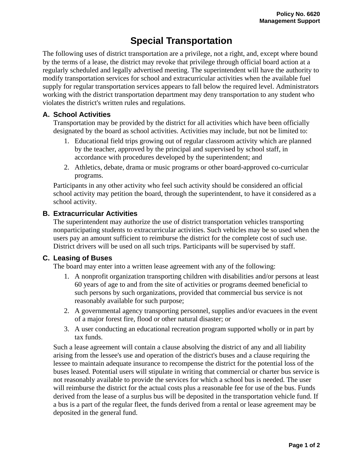# **Special Transportation**

The following uses of district transportation are a privilege, not a right, and, except where bound by the terms of a lease, the district may revoke that privilege through official board action at a regularly scheduled and legally advertised meeting. The superintendent will have the authority to modify transportation services for school and extracurricular activities when the available fuel supply for regular transportation services appears to fall below the required level. Administrators working with the district transportation department may deny transportation to any student who violates the district's written rules and regulations.

### **A. School Activities**

Transportation may be provided by the district for all activities which have been officially designated by the board as school activities. Activities may include, but not be limited to:

- 1. Educational field trips growing out of regular classroom activity which are planned by the teacher, approved by the principal and supervised by school staff, in accordance with procedures developed by the superintendent; and
- 2. Athletics, debate, drama or music programs or other board-approved co-curricular programs.

Participants in any other activity who feel such activity should be considered an official school activity may petition the board, through the superintendent, to have it considered as a school activity.

### **B. Extracurricular Activities**

The superintendent may authorize the use of district transportation vehicles transporting nonparticipating students to extracurricular activities. Such vehicles may be so used when the users pay an amount sufficient to reimburse the district for the complete cost of such use. District drivers will be used on all such trips. Participants will be supervised by staff.

## **C. Leasing of Buses**

The board may enter into a written lease agreement with any of the following:

- 1. A nonprofit organization transporting children with disabilities and/or persons at least 60 years of age to and from the site of activities or programs deemed beneficial to such persons by such organizations, provided that commercial bus service is not reasonably available for such purpose;
- 2. A governmental agency transporting personnel, supplies and/or evacuees in the event of a major forest fire, flood or other natural disaster; or
- 3. A user conducting an educational recreation program supported wholly or in part by tax funds.

Such a lease agreement will contain a clause absolving the district of any and all liability arising from the lessee's use and operation of the district's buses and a clause requiring the lessee to maintain adequate insurance to recompense the district for the potential loss of the buses leased. Potential users will stipulate in writing that commercial or charter bus service is not reasonably available to provide the services for which a school bus is needed. The user will reimburse the district for the actual costs plus a reasonable fee for use of the bus. Funds derived from the lease of a surplus bus will be deposited in the transportation vehicle fund. If a bus is a part of the regular fleet, the funds derived from a rental or lease agreement may be deposited in the general fund.